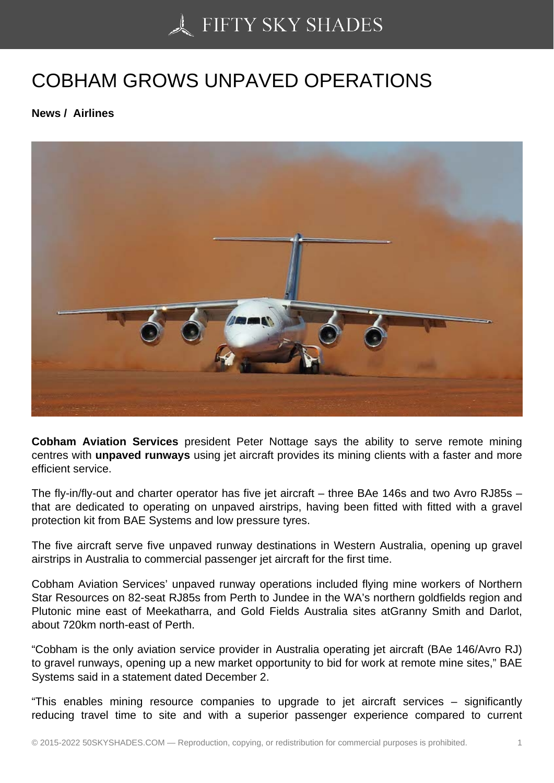## [COBHAM GROWS UN](https://50skyshades.com)PAVED OPERATIONS

News / Airlines

Cobham Aviation Services president Peter Nottage says the ability to serve remote mining centres with unpaved runways using jet aircraft provides its mining clients with a faster and more efficient service.

The fly-in/fly-out and charter operator has five jet aircraft – three BAe 146s and two Avro RJ85s – that are dedicated to operating on unpaved airstrips, having been fitted with fitted with a gravel protection kit from BAE Systems and low pressure tyres.

The five aircraft serve five unpaved runway destinations in Western Australia, opening up gravel airstrips in Australia to commercial passenger jet aircraft for the first time.

Cobham Aviation Services' unpaved runway operations included flying mine workers of Northern Star Resources on 82-seat RJ85s from Perth to Jundee in the WA's northern goldfields region and Plutonic mine east of Meekatharra, and Gold Fields Australia sites atGranny Smith and Darlot, about 720km north-east of Perth.

"Cobham is the only aviation service provider in Australia operating jet aircraft (BAe 146/Avro RJ) to gravel runways, opening up a new market opportunity to bid for work at remote mine sites," BAE Systems said in a statement dated December 2.

"This enables mining resource companies to upgrade to jet aircraft services – significantly reducing travel time to site and with a superior passenger experience compared to current